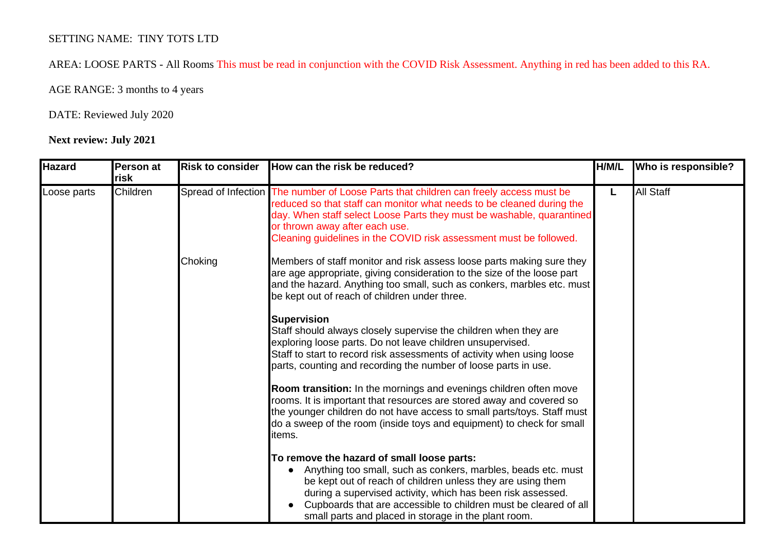## SETTING NAME: TINY TOTS LTD

AREA: LOOSE PARTS - All Rooms This must be read in conjunction with the COVID Risk Assessment. Anything in red has been added to this RA.

AGE RANGE: 3 months to 4 years

## DATE: Reviewed July 2020

## **Next review: July 2021**

| <b>Hazard</b> | Person at<br>risk | <b>Risk to consider</b> | How can the risk be reduced?                                                                                                                                                                                                                                                                                                                                          | H/M/L | Who is responsible? |
|---------------|-------------------|-------------------------|-----------------------------------------------------------------------------------------------------------------------------------------------------------------------------------------------------------------------------------------------------------------------------------------------------------------------------------------------------------------------|-------|---------------------|
| Loose parts   | Children          |                         | Spread of Infection The number of Loose Parts that children can freely access must be<br>reduced so that staff can monitor what needs to be cleaned during the<br>day. When staff select Loose Parts they must be washable, quarantined<br>or thrown away after each use.<br>Cleaning guidelines in the COVID risk assessment must be followed.                       |       | <b>All Staff</b>    |
|               |                   | Choking                 | Members of staff monitor and risk assess loose parts making sure they<br>are age appropriate, giving consideration to the size of the loose part<br>and the hazard. Anything too small, such as conkers, marbles etc. must<br>be kept out of reach of children under three.                                                                                           |       |                     |
|               |                   |                         | <b>Supervision</b><br>Staff should always closely supervise the children when they are<br>exploring loose parts. Do not leave children unsupervised.<br>Staff to start to record risk assessments of activity when using loose<br>parts, counting and recording the number of loose parts in use.                                                                     |       |                     |
|               |                   |                         | Room transition: In the mornings and evenings children often move<br>rooms. It is important that resources are stored away and covered so<br>the younger children do not have access to small parts/toys. Staff must<br>do a sweep of the room (inside toys and equipment) to check for small<br>items.                                                               |       |                     |
|               |                   |                         | To remove the hazard of small loose parts:<br>Anything too small, such as conkers, marbles, beads etc. must<br>be kept out of reach of children unless they are using them<br>during a supervised activity, which has been risk assessed.<br>Cupboards that are accessible to children must be cleared of all<br>small parts and placed in storage in the plant room. |       |                     |